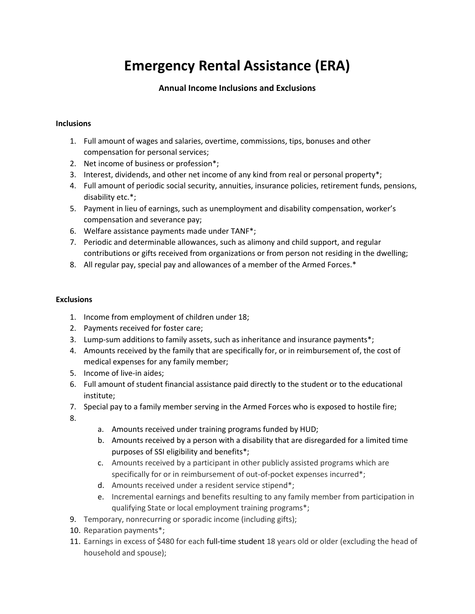## **Emergency Rental Assistance (ERA)**

## **Annual Income Inclusions and Exclusions**

## **Inclusions**

- 1. Full amount of wages and salaries, overtime, commissions, tips, bonuses and other compensation for personal services;
- 2. Net income of business or profession\*;
- 3. Interest, dividends, and other net income of any kind from real or personal property\*;
- 4. Full amount of periodic social security, annuities, insurance policies, retirement funds, pensions, disability etc.\*;
- 5. Payment in lieu of earnings, such as unemployment and disability compensation, worker's compensation and severance pay;
- 6. Welfare assistance payments made under TANF\*;
- 7. Periodic and determinable allowances, such as alimony and child support, and regular contributions or gifts received from organizations or from person not residing in the dwelling;
- 8. All regular pay, special pay and allowances of a member of the Armed Forces.\*

## **Exclusions**

- 1. Income from employment of children under 18;
- 2. Payments received for foster care;
- 3. Lump-sum additions to family assets, such as inheritance and insurance payments\*;
- 4. Amounts received by the family that are specifically for, or in reimbursement of, the cost of medical expenses for any family member;
- 5. Income of live-in aides;
- 6. Full amount of student financial assistance paid directly to the student or to the educational institute;
- 7. Special pay to a family member serving in the Armed Forces who is exposed to hostile fire;
- 8.
- a. Amounts received under training programs funded by HUD;
- b. Amounts received by a person with a disability that are disregarded for a limited time purposes of SSI eligibility and benefits\*;
- c. Amounts received by a participant in other publicly assisted programs which are specifically for or in reimbursement of out-of-pocket expenses incurred\*;
- d. Amounts received under a resident service stipend\*;
- e. Incremental earnings and benefits resulting to any family member from participation in qualifying State or local employment training programs\*;
- 9. Temporary, nonrecurring or sporadic income (including gifts);
- 10. Reparation payments\*;
- 11. Earnings in excess of \$480 for each full-time student 18 years old or older (excluding the head of household and spouse);